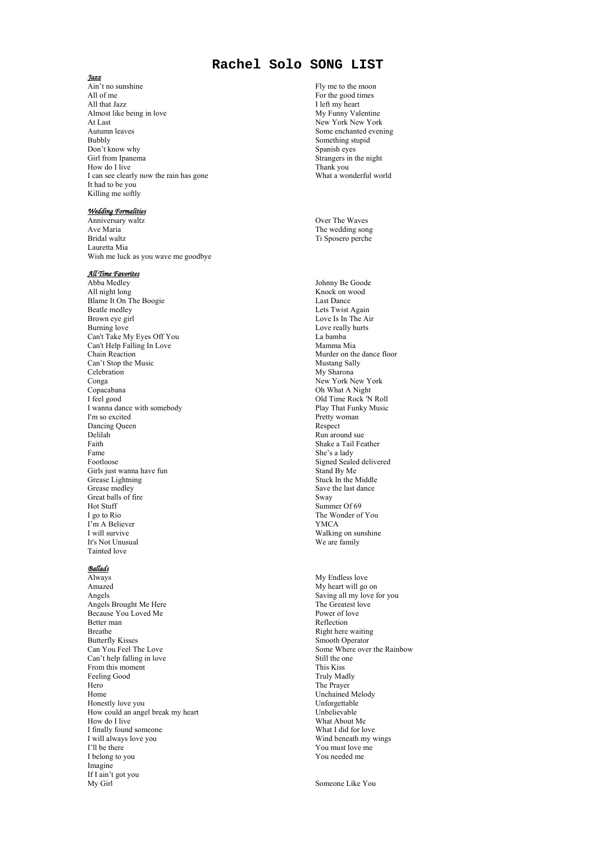# **Rachel Solo SONG LIST**

#### *Jazz*

Ain't no sunshine All of me All that Jazz Almost like being in love At Last Autumn leaves Bubbly Don't know why Girl from Ipanema How do I live I can see clearly now the rain has gone It had to be you Killing me softly

## *Wedding Formalities*

Anniversary waltz Ave Maria Bridal waltz Lauretta Mia Wish me luck as you wave me goodbye

## *All Time Favorites*

Abba Medley All night long Blame It On The Boogie Beatle medley Brown eye girl Burning love Can't Take My Eyes Off You Can't Help Falling In Love Chain Reaction Can't Stop the Music **Celebration** Conga Copacabana I feel good I wanna dance with somebody I'm so excited Dancing Queen Delilah Faith Fame Footloose Girls just wanna have fun Grease Lightning Grease medley Great balls of fire Hot Stuff I go to Rio I'm A Believer I will survive It's Not Unusual Tainted love

## *Ballads*

Always Amazed Angels Angels Brought Me Here Because You Loved Me Better man Breathe Butterfly Kisses Can You Feel The Love Can't help falling in love From this moment Feeling Good Hero Home Honestly love you How could an angel break my heart How do I live I finally found someone I will always love you I'll be there I belong to you Imagine If I ain't got you My Girl

Fly me to the moon For the good times I left my heart My Funny Valentine New York New York Some enchanted evening Something stupid Spanish eyes Strangers in the night Thank you What a wonderful world

Over The Waves The wedding song Ti Sposero perche

Johnny Be Goode Knock on wood Last Dance Lets Twist Again Love Is In The Air Love really hurts La bamba Mamma Mia Murder on the dance floor Mustang Sally My Sharona New York New York Oh What A Night Old Time Rock 'N Roll Play That Funky Music Pretty woman Respect Run around sue Shake a Tail Feather She's a lady Signed Sealed delivered Stand By Me Stuck In the Middle Save the last dance Sway Summer Of 69 The Wonder of You YMCA Walking on sunshine We are family

My Endless love My heart will go on Saving all my love for you The Greatest love Power of love Reflection Right here waiting Smooth Operator Some Where over the Rainbow Still the one This Kiss Truly Madly The Prayer Unchained Melody Unforgettable Unbelievable What About Me What I did for love Wind beneath my wings You must love me You needed me

Someone Like You